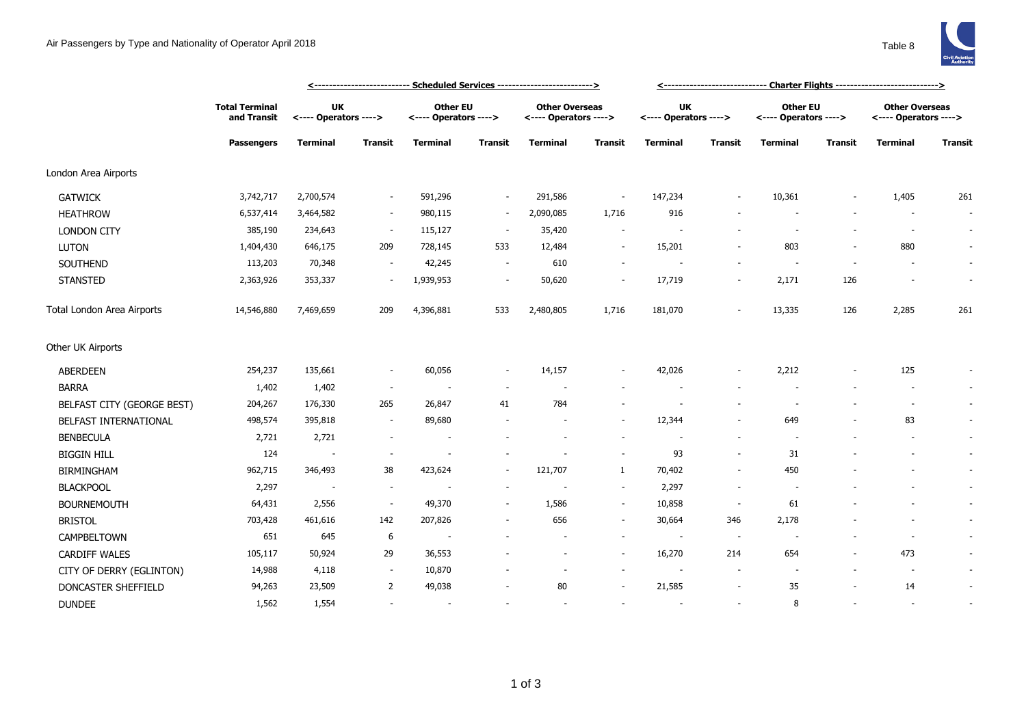

|                            |                                      |                                    | <u> &lt;--------------------------- Scheduled Services --------------------------&gt;</u> |                                          |                          |                                                |                          |                                    |                          |                                   |         |                                                |                          |
|----------------------------|--------------------------------------|------------------------------------|-------------------------------------------------------------------------------------------|------------------------------------------|--------------------------|------------------------------------------------|--------------------------|------------------------------------|--------------------------|-----------------------------------|---------|------------------------------------------------|--------------------------|
|                            | <b>Total Terminal</b><br>and Transit | <b>UK</b><br><---- Operators ----> |                                                                                           | <b>Other EU</b><br><---- Operators ----> |                          | <b>Other Overseas</b><br><---- Operators ----> |                          | <b>UK</b><br><---- Operators ----> |                          | Other EU<br><---- Operators ----> |         | <b>Other Overseas</b><br><---- Operators ----> |                          |
|                            | <b>Passengers</b>                    | <b>Terminal</b>                    | <b>Transit</b>                                                                            | <b>Terminal</b>                          | <b>Transit</b>           | <b>Terminal</b>                                | Transit                  | <b>Terminal</b>                    | <b>Transit</b>           | Terminal                          | Transit | <b>Terminal</b>                                | <b>Transit</b>           |
| London Area Airports       |                                      |                                    |                                                                                           |                                          |                          |                                                |                          |                                    |                          |                                   |         |                                                |                          |
| <b>GATWICK</b>             | 3,742,717                            | 2,700,574                          |                                                                                           | 591,296                                  | $\sim$                   | 291,586                                        | $\overline{\phantom{a}}$ | 147,234                            |                          | 10,361                            |         | 1,405                                          | 261                      |
| <b>HEATHROW</b>            | 6,537,414                            | 3,464,582                          | $\sim$                                                                                    | 980,115                                  | $\sim$                   | 2,090,085                                      | 1,716                    | 916                                |                          |                                   |         |                                                | $\overline{\phantom{a}}$ |
| <b>LONDON CITY</b>         | 385,190                              | 234,643                            | $\overline{\phantom{a}}$                                                                  | 115,127                                  | $\sim$                   | 35,420                                         | $\sim$                   | ÷,                                 |                          | $\overline{\phantom{a}}$          |         | $\sim$                                         | $\sim$                   |
| <b>LUTON</b>               | 1,404,430                            | 646,175                            | 209                                                                                       | 728,145                                  | 533                      | 12,484                                         | $\sim$                   | 15,201                             |                          | 803                               |         | 880                                            | $\overline{\phantom{a}}$ |
| SOUTHEND                   | 113,203                              | 70,348                             |                                                                                           | 42,245                                   | $\sim$                   | 610                                            | $\sim$                   | ÷,                                 |                          |                                   |         |                                                | $\overline{\phantom{a}}$ |
| <b>STANSTED</b>            | 2,363,926                            | 353,337                            |                                                                                           | 1,939,953                                | $\overline{\phantom{a}}$ | 50,620                                         | $\overline{\phantom{a}}$ | 17,719                             | $\overline{\phantom{a}}$ | 2,171                             | 126     |                                                | $\sim$                   |
| Total London Area Airports | 14,546,880                           | 7,469,659                          | 209                                                                                       | 4,396,881                                | 533                      | 2,480,805                                      | 1,716                    | 181,070                            |                          | 13,335                            | 126     | 2,285                                          | 261                      |
| Other UK Airports          |                                      |                                    |                                                                                           |                                          |                          |                                                |                          |                                    |                          |                                   |         |                                                |                          |
| <b>ABERDEEN</b>            | 254,237                              | 135,661                            | $\overline{\phantom{a}}$                                                                  | 60,056                                   | $\sim$                   | 14,157                                         | $\sim$                   | 42,026                             | $\overline{\phantom{a}}$ | 2,212                             |         | 125                                            | $\overline{\phantom{a}}$ |
| <b>BARRA</b>               | 1,402                                | 1,402                              | $\sim$                                                                                    |                                          |                          |                                                |                          |                                    |                          |                                   |         |                                                | $\overline{\phantom{a}}$ |
| BELFAST CITY (GEORGE BEST) | 204,267                              | 176,330                            | 265                                                                                       | 26,847                                   | 41                       | 784                                            |                          |                                    |                          |                                   |         |                                                | $\sim$                   |
| BELFAST INTERNATIONAL      | 498,574                              | 395,818                            | $\sim$                                                                                    | 89,680                                   |                          |                                                | $\sim$                   | 12,344                             | $\overline{\phantom{a}}$ | 649                               |         | 83                                             | $\sim$                   |
| <b>BENBECULA</b>           | 2,721                                | 2,721                              |                                                                                           |                                          |                          |                                                | $\sim$                   |                                    | $\sim$                   |                                   |         |                                                | $\sim$                   |
| <b>BIGGIN HILL</b>         | 124                                  | $\sim$                             |                                                                                           |                                          |                          |                                                | $\sim$                   | 93                                 | $\overline{\phantom{a}}$ | 31                                |         |                                                | $\sim$                   |
| <b>BIRMINGHAM</b>          | 962,715                              | 346,493                            | 38                                                                                        | 423,624                                  | $\sim$                   | 121,707                                        | $\mathbf{1}$             | 70,402                             | $\overline{\phantom{a}}$ | 450                               |         |                                                | $\sim$                   |
| <b>BLACKPOOL</b>           | 2,297                                | $\overline{\phantom{a}}$           | $\sim$                                                                                    |                                          |                          | $\overline{\phantom{a}}$                       | $\sim$                   | 2,297                              | $\overline{\phantom{a}}$ | $\overline{\phantom{a}}$          |         |                                                | $\sim$                   |
| <b>BOURNEMOUTH</b>         | 64,431                               | 2,556                              | $\sim$                                                                                    | 49,370                                   | $\sim$                   | 1,586                                          | $\sim$                   | 10,858                             | $\overline{\phantom{a}}$ | 61                                |         |                                                | $\sim$                   |
| <b>BRISTOL</b>             | 703,428                              | 461,616                            | 142                                                                                       | 207,826                                  |                          | 656                                            | $\sim$                   | 30,664                             | 346                      | 2,178                             |         | $\overline{\phantom{a}}$                       | $\overline{\phantom{a}}$ |
| CAMPBELTOWN                | 651                                  | 645                                | 6                                                                                         | $\overline{\phantom{a}}$                 |                          |                                                | $\overline{\phantom{a}}$ | $\overline{\phantom{a}}$           | $\sim$                   | $\overline{\phantom{a}}$          |         | $\overline{\phantom{a}}$                       | $\sim$                   |
| <b>CARDIFF WALES</b>       | 105,117                              | 50,924                             | 29                                                                                        | 36,553                                   |                          | $\overline{\phantom{a}}$                       | $\sim$                   | 16,270                             | 214                      | 654                               |         | 473                                            | $\overline{\phantom{a}}$ |
| CITY OF DERRY (EGLINTON)   | 14,988                               | 4,118                              | $\sim$                                                                                    | 10,870                                   |                          |                                                | $\sim$                   |                                    |                          |                                   |         | $\overline{\phantom{a}}$                       | ٠                        |
| DONCASTER SHEFFIELD        | 94,263                               | 23,509                             | 2                                                                                         | 49,038                                   |                          | 80                                             |                          | 21,585                             |                          | 35                                |         | 14                                             | $\overline{\phantom{a}}$ |
| <b>DUNDEE</b>              | 1,562                                | 1,554                              |                                                                                           | $\sim$                                   |                          | $\overline{a}$                                 | $\sim$                   |                                    |                          | 8                                 |         | $\overline{\phantom{a}}$                       | $\overline{\phantom{a}}$ |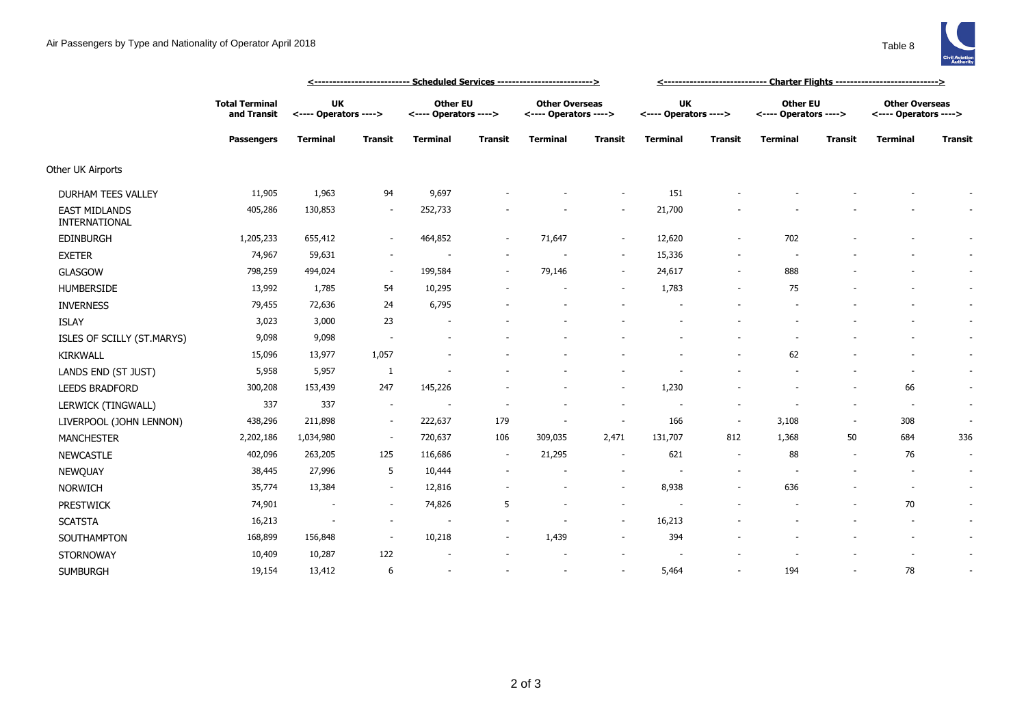

|                                       |                                                           | <u>&lt;-------------------------- Scheduled Services ---------------------------&gt;</u> |                          |                                          |                |                                                |                |                                    |                          |                                          |                |                                                |                          |
|---------------------------------------|-----------------------------------------------------------|------------------------------------------------------------------------------------------|--------------------------|------------------------------------------|----------------|------------------------------------------------|----------------|------------------------------------|--------------------------|------------------------------------------|----------------|------------------------------------------------|--------------------------|
|                                       | <b>Total Terminal</b><br>and Transit<br><b>Passengers</b> | <b>UK</b><br><---- Operators ---->                                                       |                          | <b>Other EU</b><br><---- Operators ----> |                | <b>Other Overseas</b><br><---- Operators ----> |                | <b>UK</b><br><---- Operators ----> |                          | <b>Other EU</b><br><---- Operators ----> |                | <b>Other Overseas</b><br><---- Operators ----> |                          |
|                                       |                                                           | <b>Terminal</b>                                                                          | <b>Transit</b>           | <b>Terminal</b>                          | <b>Transit</b> | <b>Terminal</b>                                | <b>Transit</b> | <b>Terminal</b>                    | <b>Transit</b>           | <b>Terminal</b>                          | <b>Transit</b> | <b>Terminal</b>                                | <b>Transit</b>           |
| Other UK Airports                     |                                                           |                                                                                          |                          |                                          |                |                                                |                |                                    |                          |                                          |                |                                                |                          |
| <b>DURHAM TEES VALLEY</b>             | 11,905                                                    | 1,963                                                                                    | 94                       | 9,697                                    |                |                                                | $\sim$         | 151                                |                          |                                          |                |                                                |                          |
| <b>EAST MIDLANDS</b><br>INTERNATIONAL | 405,286                                                   | 130,853                                                                                  |                          | 252,733                                  |                |                                                |                | 21,700                             |                          |                                          |                |                                                |                          |
| <b>EDINBURGH</b>                      | 1,205,233                                                 | 655,412                                                                                  |                          | 464,852                                  |                | 71,647                                         | $\sim$         | 12,620                             |                          | 702                                      |                |                                                |                          |
| <b>EXETER</b>                         | 74,967                                                    | 59,631                                                                                   |                          |                                          |                |                                                | $\sim$         | 15,336                             |                          |                                          |                |                                                |                          |
| <b>GLASGOW</b>                        | 798,259                                                   | 494,024                                                                                  | $\overline{\phantom{a}}$ | 199,584                                  | $\sim$         | 79,146                                         | $\sim$         | 24,617                             | $\overline{a}$           | 888                                      |                |                                                |                          |
| <b>HUMBERSIDE</b>                     | 13,992                                                    | 1,785                                                                                    | 54                       | 10,295                                   |                |                                                |                | 1,783                              |                          | 75                                       |                |                                                |                          |
| <b>INVERNESS</b>                      | 79,455                                                    | 72,636                                                                                   | 24                       | 6,795                                    |                |                                                |                |                                    |                          |                                          |                |                                                |                          |
| <b>ISLAY</b>                          | 3,023                                                     | 3,000                                                                                    | 23                       |                                          |                |                                                |                |                                    |                          |                                          |                |                                                | $\sim$                   |
| ISLES OF SCILLY (ST.MARYS)            | 9,098                                                     | 9,098                                                                                    |                          |                                          |                |                                                |                |                                    |                          |                                          |                |                                                | $\sim$                   |
| <b>KIRKWALL</b>                       | 15,096                                                    | 13,977                                                                                   | 1,057                    |                                          |                |                                                |                |                                    |                          | 62                                       |                |                                                |                          |
| LANDS END (ST JUST)                   | 5,958                                                     | 5,957                                                                                    | $\mathbf{1}$             |                                          |                |                                                |                |                                    |                          |                                          |                |                                                |                          |
| <b>LEEDS BRADFORD</b>                 | 300,208                                                   | 153,439                                                                                  | 247                      | 145,226                                  |                |                                                |                | 1,230                              |                          |                                          |                | 66                                             |                          |
| LERWICK (TINGWALL)                    | 337                                                       | 337                                                                                      | $\sim$                   |                                          |                |                                                | $\sim$         |                                    |                          |                                          |                | $\overline{\phantom{a}}$                       | $\sim$                   |
| LIVERPOOL (JOHN LENNON)               | 438,296                                                   | 211,898                                                                                  | $\sim$                   | 222,637                                  | 179            | $\overline{\phantom{a}}$                       | $\sim$         | 166                                | $\overline{\phantom{a}}$ | 3,108                                    | $\sim$         | 308                                            | $\overline{\phantom{a}}$ |
| <b>MANCHESTER</b>                     | 2,202,186                                                 | 1,034,980                                                                                | $\sim$                   | 720,637                                  | 106            | 309,035                                        | 2,471          | 131,707                            | 812                      | 1,368                                    | 50             | 684                                            | 336                      |
| <b>NEWCASTLE</b>                      | 402,096                                                   | 263,205                                                                                  | 125                      | 116,686                                  | $\sim$         | 21,295                                         |                | 621                                | $\overline{\phantom{a}}$ | 88                                       |                | 76                                             | $\overline{\phantom{a}}$ |
| NEWQUAY                               | 38,445                                                    | 27,996                                                                                   | 5                        | 10,444                                   |                |                                                |                |                                    |                          |                                          |                |                                                |                          |
| <b>NORWICH</b>                        | 35,774                                                    | 13,384                                                                                   | $\sim$                   | 12,816                                   |                |                                                | $\sim$         | 8,938                              |                          | 636                                      |                | $\overline{\phantom{a}}$                       | $\sim$                   |
| <b>PRESTWICK</b>                      | 74,901                                                    |                                                                                          |                          | 74,826                                   | 5              |                                                | $\sim$         |                                    |                          |                                          |                | 70                                             |                          |
| <b>SCATSTA</b>                        | 16,213                                                    | $\sim$                                                                                   |                          | $\overline{\phantom{a}}$                 |                |                                                | $\sim$         | 16,213                             |                          |                                          |                | $\sim$                                         | $\sim$                   |
| SOUTHAMPTON                           | 168,899                                                   | 156,848                                                                                  | $\sim$                   | 10,218                                   |                | 1,439                                          | $\sim$         | 394                                |                          |                                          |                |                                                | $\sim$                   |
| <b>STORNOWAY</b>                      | 10,409                                                    | 10,287                                                                                   | 122                      | $\overline{\phantom{a}}$                 |                |                                                |                |                                    |                          |                                          |                |                                                |                          |
|                                       |                                                           |                                                                                          |                          |                                          |                |                                                |                |                                    |                          |                                          |                |                                                |                          |

SUMBURGH 19,154 13,412 6 - - - - 5,464 - 194 - 78 -